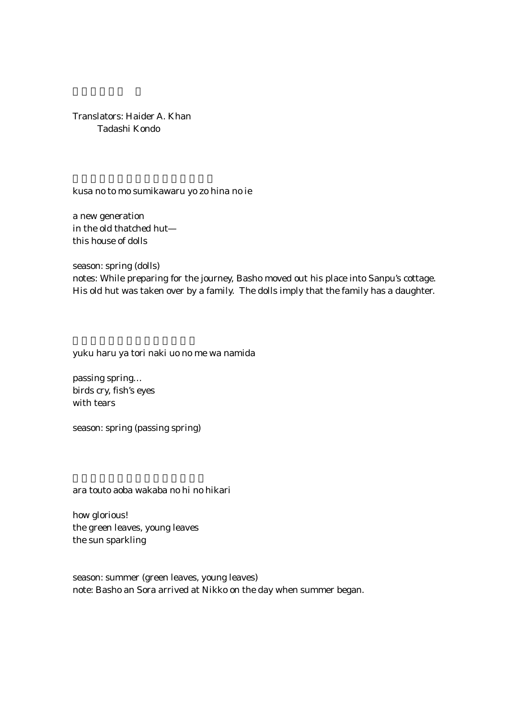Translators: Haider A. Khan Tadashi Kondo

kusa no to mo sumikawaru yo zo hina no ie

a new generation in the old thatched hut this house of dolls

season: spring (dolls)

notes: While preparing for the journey, Basho moved out his place into Sanpu's cottage. His old hut was taken over by a family. The dolls imply that the family has a daughter.

yuku haru ya tori naki uo no me wa namida

passing spring… birds cry, fish's eyes with tears

season: spring (passing spring)

ara touto aoba wakaba no hi no hikari

how glorious! the green leaves, young leaves the sun sparkling

season: summer (green leaves, young leaves) note: Basho an Sora arrived at Nikko on the day when summer began.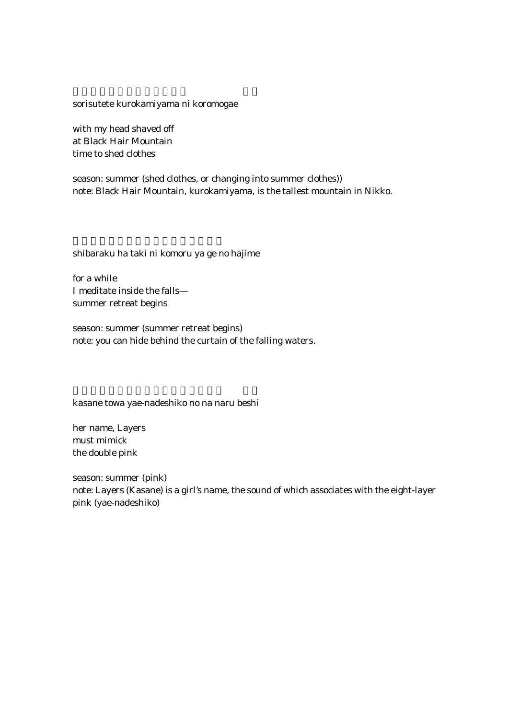sorisutete kurokamiyama ni koromogae

with my head shaved off at Black Hair Mountain time to shed clothes

season: summer (shed clothes, or changing into summer clothes)) note: Black Hair Mountain, kurokamiyama, is the tallest mountain in Nikko.

shibaraku ha taki ni komoru ya ge no hajime

for a while I meditate inside the falls summer retreat begins

season: summer (summer retreat begins) note: you can hide behind the curtain of the falling waters.

kasane towa yae-nadeshiko no na naru beshi

her name, Layers must mimick the double pink

season: summer (pink) note: Layers (Kasane) is a girl's name, the sound of which associates with the eight-layer pink (yae-nadeshiko)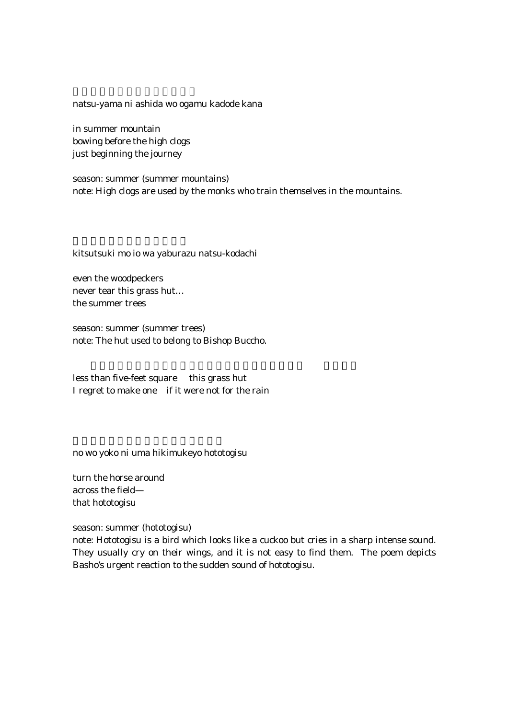natsu-yama ni ashida wo ogamu kadode kana

in summer mountain bowing before the high clogs just beginning the journey

season: summer (summer mountains) note: High clogs are used by the monks who train themselves in the mountains.

kitsutsuki mo io wa yaburazu natsu-kodachi

even the woodpeckers never tear this grass hut… the summer trees

season: summer (summer trees) note: The hut used to belong to Bishop Buccho.

less than five-feet square this grass hut I regret to make one if it were not for the rain

no wo yoko ni uma hikimukeyo hototogisu

turn the horse around across the field that hototogisu

season: summer (hototogisu)

note: Hototogisu is a bird which looks like a cuckoo but cries in a sharp intense sound. They usually cry on their wings, and it is not easy to find them. The poem depicts Basho's urgent reaction to the sudden sound of hototogisu.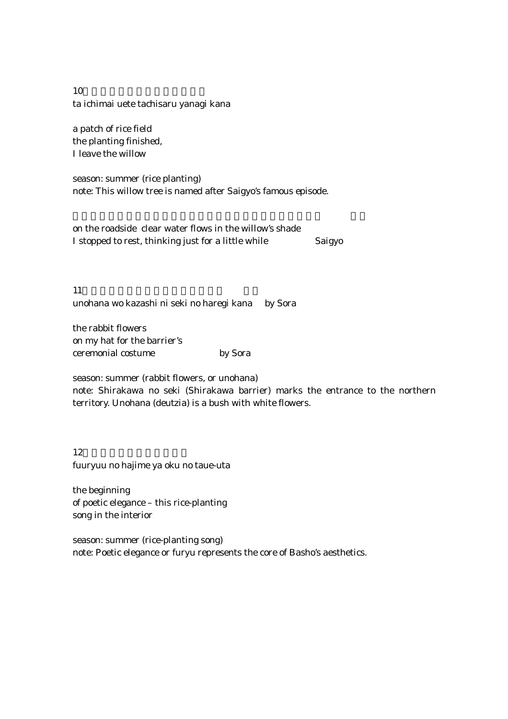$10$ ta ichimai uete tachisaru yanagi kana

a patch of rice field the planting finished, I leave the willow

season: summer (rice planting) note: This willow tree is named after Saigyo's famous episode.

on the roadside clear water flows in the willow's shade I stopped to rest, thinking just for a little while Saigyo

11. $\blacksquare$ unohana wo kazashi ni seki no haregi kana by Sora

the rabbit flowers on my hat for the barrier's ceremonial costume by Sora

season: summer (rabbit flowers, or unohana)

note: Shirakawa no seki (Shirakawa barrier) marks the entrance to the northern territory. Unohana (deutzia) is a bush with white flowers.

 $12$ fuuryuu no hajime ya oku no taue-uta

the beginning of poetic elegance – this rice-planting song in the interior

season: summer (rice-planting song) note: Poetic elegance or furyu represents the core of Basho's aesthetics.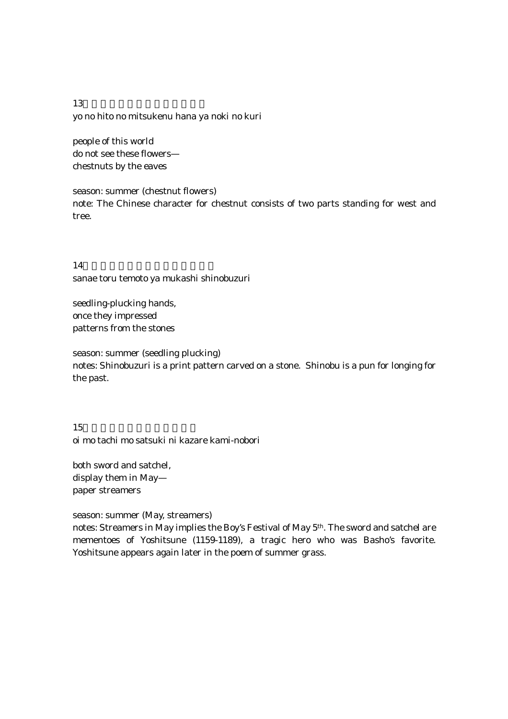$13$ yo no hito no mitsukenu hana ya noki no kuri

people of this world do not see these flowers chestnuts by the eaves

season: summer (chestnut flowers) note: The Chinese character for chestnut consists of two parts standing for west and tree.

14. sanae toru temoto ya mukashi shinobuzuri

seedling-plucking hands, once they impressed patterns from the stones

season: summer (seedling plucking) notes: Shinobuzuri is a print pattern carved on a stone. Shinobu is a pun for longing for the past.

15.笈も太刀も五月に飾れ紙幟 oi mo tachi mo satsuki ni kazare kami-nobori

both sword and satchel, display them in May paper streamers

season: summer (May, streamers)

notes: Streamers in May implies the Boy's Festival of May 5th. The sword and satchel are mementoes of Yoshitsune (1159-1189), a tragic hero who was Basho's favorite. Yoshitsune appears again later in the poem of summer grass.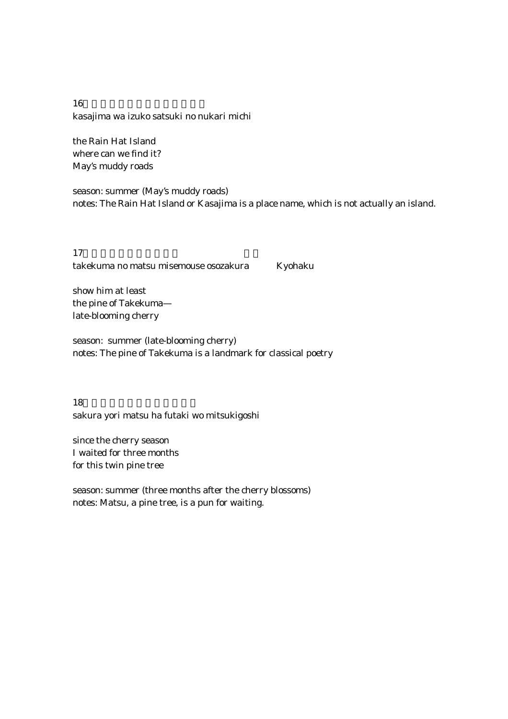16. kasajima wa izuko satsuki no nukari michi

the Rain Hat Island where can we find it? May's muddy roads

season: summer (May's muddy roads) notes: The Rain Hat Island or Kasajima is a place name, which is not actually an island.

 $17$ takekuma no matsu misemouse osozakura Kyohaku

show him at least the pine of Takekuma late-blooming cherry

season: summer (late-blooming cherry) notes: The pine of Takekuma is a landmark for classical poetry

18.  $\blacksquare$ sakura yori matsu ha futaki wo mitsukigoshi

since the cherry season I waited for three months for this twin pine tree

season: summer (three months after the cherry blossoms) notes: Matsu, a pine tree, is a pun for waiting.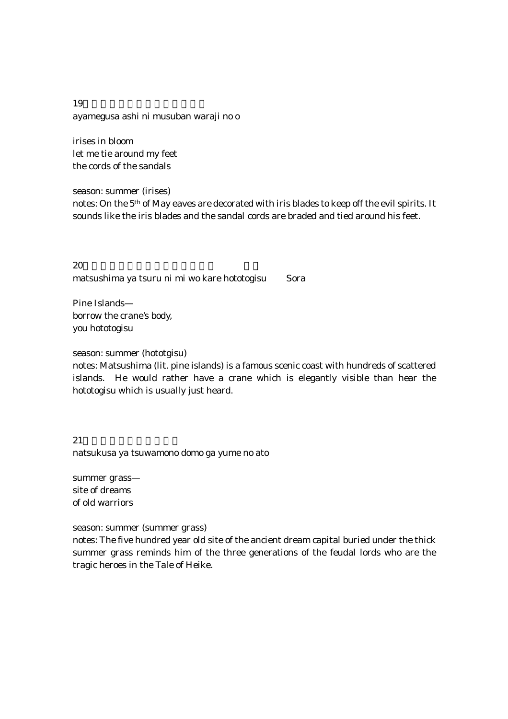$19$ ayamegusa ashi ni musuban waraji no o

irises in bloom let me tie around my feet the cords of the sandals

season: summer (irises) notes: On the 5th of May eaves are decorated with iris blades to keep off the evil spirits. It sounds like the iris blades and the sandal cords are braded and tied around his feet.

 $20\,$ matsushima ya tsuru ni mi wo kare hototogisu Sora

Pine Islands borrow the crane's body, you hototogisu

season: summer (hototgisu)

notes: Matsushima (lit. pine islands) is a famous scenic coast with hundreds of scattered islands. He would rather have a crane which is elegantly visible than hear the hototogisu which is usually just heard.

 $21$ natsukusa ya tsuwamono domo ga yume no ato

summer grass site of dreams of old warriors

season: summer (summer grass)

notes: The five hundred year old site of the ancient dream capital buried under the thick summer grass reminds him of the three generations of the feudal lords who are the tragic heroes in the Tale of Heike.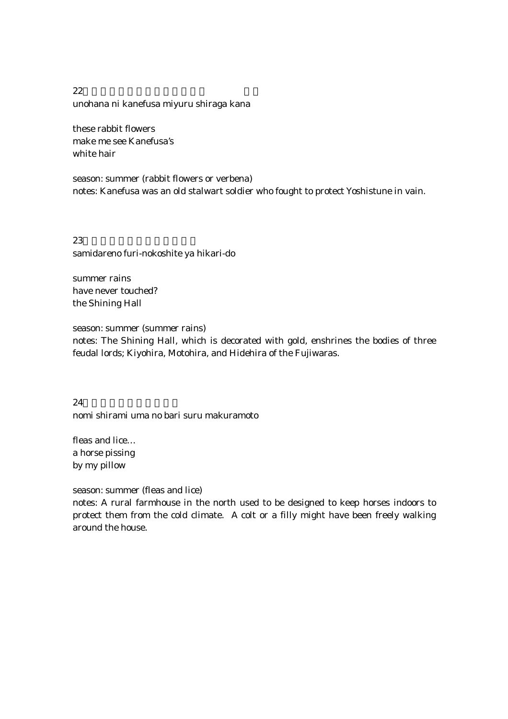$22$ unohana ni kanefusa miyuru shiraga kana

these rabbit flowers make me see Kanefusa's white hair

season: summer (rabbit flowers or verbena) notes: Kanefusa was an old stalwart soldier who fought to protect Yoshistune in vain.

23. $\overline{a}$ samidareno furi-nokoshite ya hikari-do

summer rains have never touched? the Shining Hall

season: summer (summer rains)

notes: The Shining Hall, which is decorated with gold, enshrines the bodies of three feudal lords; Kiyohira, Motohira, and Hidehira of the Fujiwaras.

 $24.$ nomi shirami uma no bari suru makuramoto

fleas and lice… a horse pissing by my pillow

season: summer (fleas and lice)

notes: A rural farmhouse in the north used to be designed to keep horses indoors to protect them from the cold climate. A colt or a filly might have been freely walking around the house.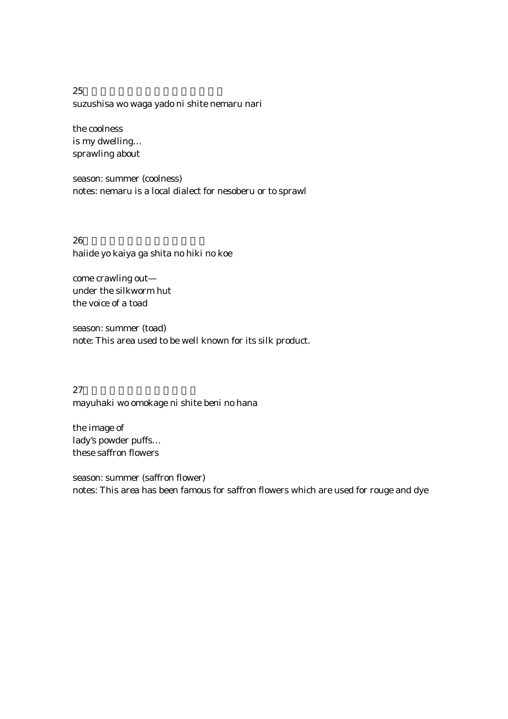$25$ suzushisa wo waga yado ni shite nemaru nari

the coolness is my dwelling… sprawling about

season: summer (coolness) notes: nemaru is a local dialect for nesoberu or to sprawl

 $26$ haiide yo kaiya ga shita no hiki no koe

come crawling out under the silkworm hut the voice of a toad

season: summer (toad) note: This area used to be well known for its silk product.

 $27$ mayuhaki wo omokage ni shite beni no hana

the image of lady's powder puffs… these saffron flowers

season: summer (saffron flower) notes: This area has been famous for saffron flowers which are used for rouge and dye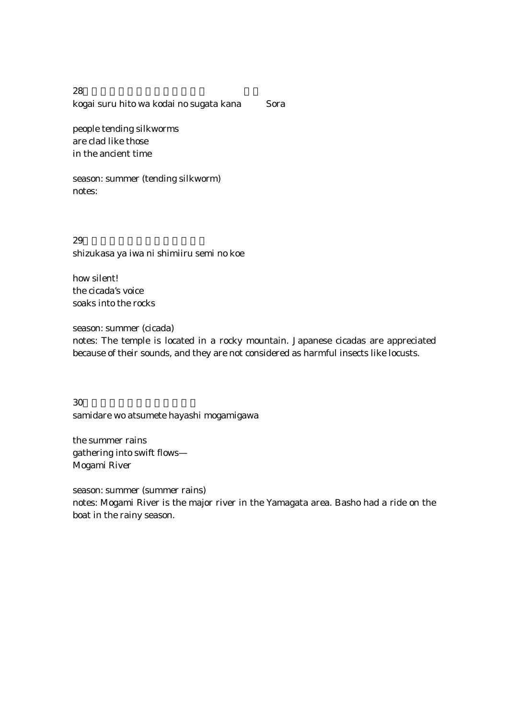28. $\overline{a}$ kogai suru hito wa kodai no sugata kana Sora

people tending silkworms are clad like those in the ancient time

season: summer (tending silkworm) notes:

 $29.$ shizukasa ya iwa ni shimiiru semi no koe

how silent! the cicada's voice soaks into the rocks

season: summer (cicada)

notes: The temple is located in a rocky mountain. Japanese cicadas are appreciated because of their sounds, and they are not considered as harmful insects like locusts.

 $30\pm1$ samidare wo atsumete hayashi mogamigawa

the summer rains gathering into swift flows— Mogami River

season: summer (summer rains) notes: Mogami River is the major river in the Yamagata area. Basho had a ride on the boat in the rainy season.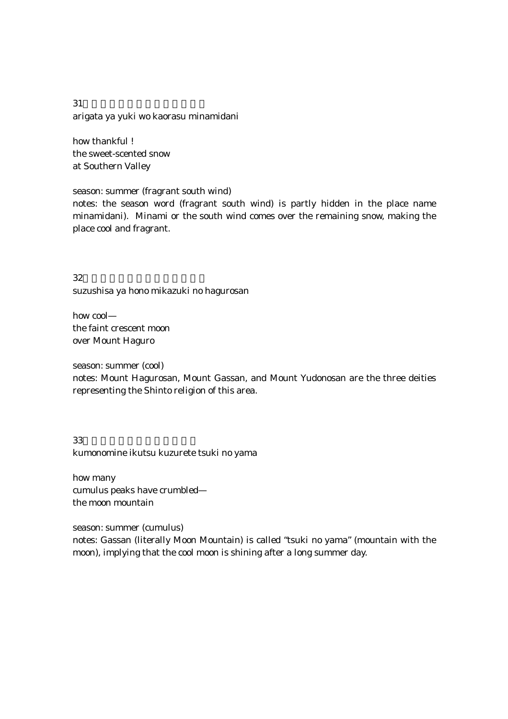$31$ arigata ya yuki wo kaorasu minamidani

how thankful ! the sweet-scented snow at Southern Valley

season: summer (fragrant south wind)

notes: the season word (fragrant south wind) is partly hidden in the place name minamidani). Minami or the south wind comes over the remaining snow, making the place cool and fragrant.

 $32.$ suzushisa ya hono mikazuki no hagurosan

how cool the faint crescent moon over Mount Haguro

season: summer (cool) notes: Mount Hagurosan, Mount Gassan, and Mount Yudonosan are the three deities representing the Shinto religion of this area.

 $33.$ kumonomine ikutsu kuzurete tsuki no yama

how many cumulus peaks have crumbled the moon mountain

season: summer (cumulus)

notes: Gassan (literally Moon Mountain) is called "tsuki no yama" (mountain with the moon), implying that the cool moon is shining after a long summer day.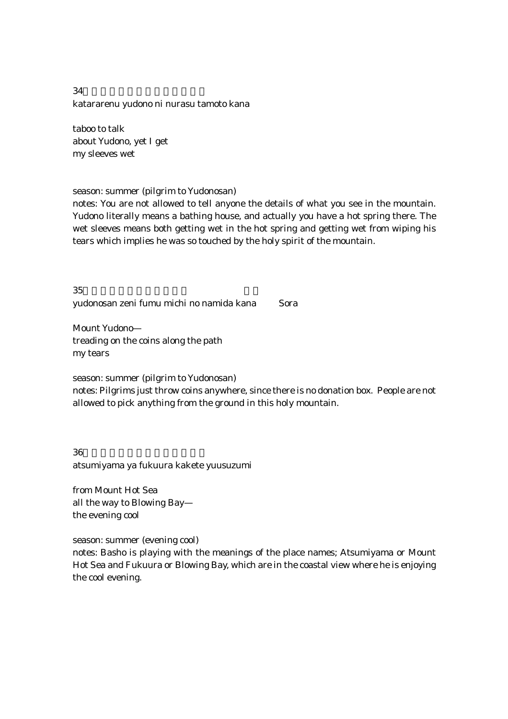$34$ katararenu yudono ni nurasu tamoto kana

taboo to talk about Yudono, yet I get my sleeves wet

season: summer (pilgrim to Yudonosan)

notes: You are not allowed to tell anyone the details of what you see in the mountain. Yudono literally means a bathing house, and actually you have a hot spring there. The wet sleeves means both getting wet in the hot spring and getting wet from wiping his tears which implies he was so touched by the holy spirit of the mountain.

 $35$ yudonosan zeni fumu michi no namida kana Sora

Mount Yudono treading on the coins along the path my tears

season: summer (pilgrim to Yudonosan)

notes: Pilgrims just throw coins anywhere, since there is no donation box. People are not allowed to pick anything from the ground in this holy mountain.

 $36$ atsumiyama ya fukuura kakete yuusuzumi

from Mount Hot Sea all the way to Blowing Bay the evening cool

season: summer (evening cool)

notes: Basho is playing with the meanings of the place names; Atsumiyama or Mount Hot Sea and Fukuura or Blowing Bay, which are in the coastal view where he is enjoying the cool evening.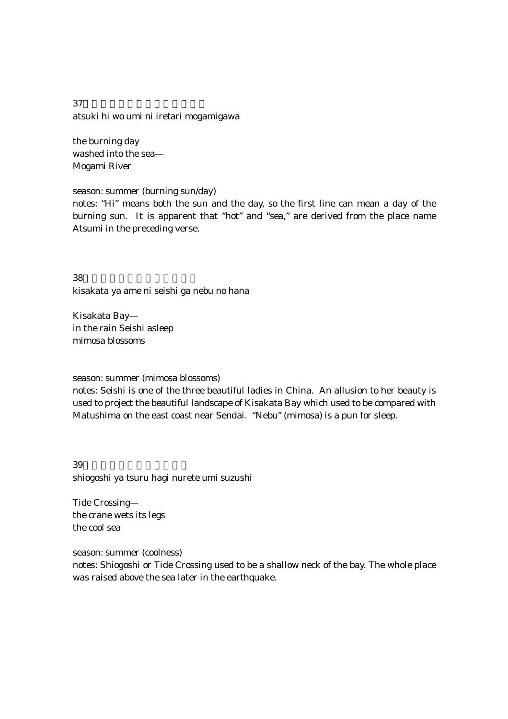$37$ atsuki hi wo umi ni iretari mogamigawa

the burning day washed into the sea— Mogami River

season: summer (burning sun/day)

notes: "Hi" means both the sun and the day, so the first line can mean a day of the burning sun. It is apparent that "hot" and "sea," are derived from the place name Atsumi in the preceding verse.

 $38.$ kisakata ya ame ni seishi ga nebu no hana

Kisakata Bay in the rain Seishi asleep mimosa blossoms

season: summer (mimosa blossoms)

notes: Seishi is one of the three beautiful ladies in China. An allusion to her beauty is used to project the beautiful landscape of Kisakata Bay which used to be compared with Matushima on the east coast near Sendai. "Nebu" (mimosa) is a pun for sleep.

 $39.$ shiogoshi ya tsuru hagi nurete umi suzushi

Tide Crossing the crane wets its legs the cool sea

season: summer (coolness)

notes: Shiogoshi or Tide Crossing used to be a shallow neck of the bay. The whole place was raised above the sea later in the earthquake.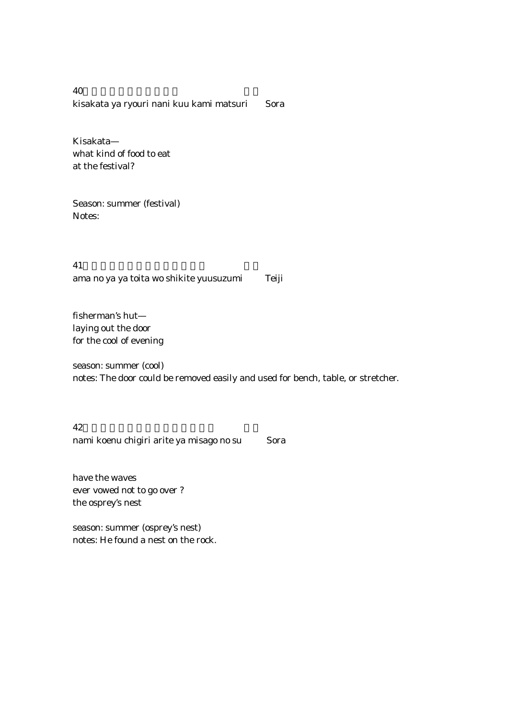$40\,$ kisakata ya ryouri nani kuu kami matsuri Sora

Kisakata what kind of food to eat at the festival?

Season: summer (festival) Notes:

 $41$ ama no ya ya toita wo shikite yuusuzumi Teiji

fisherman's hut laying out the door for the cool of evening

season: summer (cool) notes: The door could be removed easily and used for bench, table, or stretcher.

 $42.$ nami koenu chigiri arite ya misago no su Sora

have the waves ever vowed not to go over ? the osprey's nest

season: summer (osprey's nest) notes: He found a nest on the rock.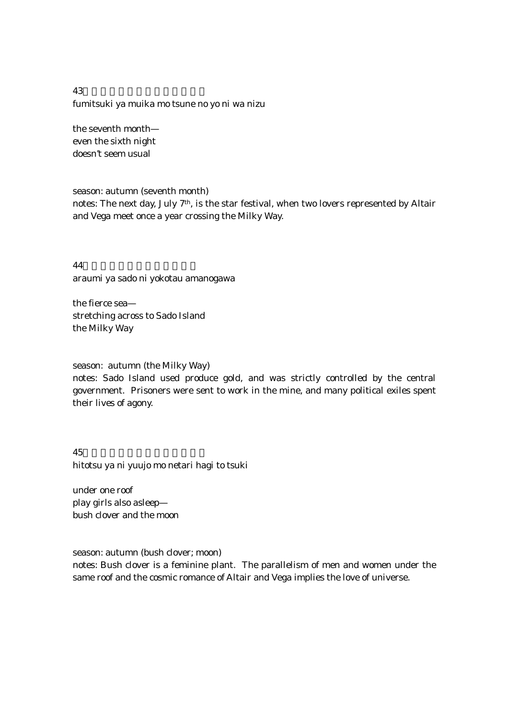43. fumitsuki ya muika mo tsune no yo ni wa nizu

the seventh month even the sixth night doesn't seem usual

season: autumn (seventh month)

notes: The next day, July 7th, is the star festival, when two lovers represented by Altair and Vega meet once a year crossing the Milky Way.

44.荒海や佐渡に横たふ天の河 araumi ya sado ni yokotau amanogawa

the fierce sea stretching across to Sado Island the Milky Way

season: autumn (the Milky Way)

notes: Sado Island used produce gold, and was strictly controlled by the central government. Prisoners were sent to work in the mine, and many political exiles spent their lives of agony.

 $45.$ hitotsu ya ni yuujo mo netari hagi to tsuki

under one roof play girls also asleep bush clover and the moon

season: autumn (bush clover; moon)

notes: Bush clover is a feminine plant. The parallelism of men and women under the same roof and the cosmic romance of Altair and Vega implies the love of universe.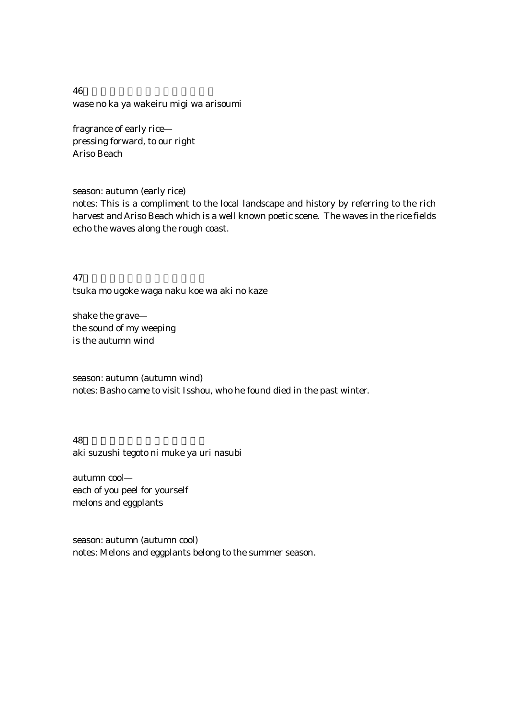$46.$ wase no ka ya wakeiru migi wa arisoumi

fragrance of early rice pressing forward, to our right Ariso Beach

season: autumn (early rice)

notes: This is a compliment to the local landscape and history by referring to the rich harvest and Ariso Beach which is a well known poetic scene. The waves in the rice fields echo the waves along the rough coast.

47.  $\blacksquare$ tsuka mo ugoke waga naku koe wa aki no kaze

shake the grave the sound of my weeping is the autumn wind

season: autumn (autumn wind) notes: Basho came to visit Isshou, who he found died in the past winter.

48. aki suzushi tegoto ni muke ya uri nasubi

autumn cool each of you peel for yourself melons and eggplants

season: autumn (autumn cool) notes: Melons and eggplants belong to the summer season.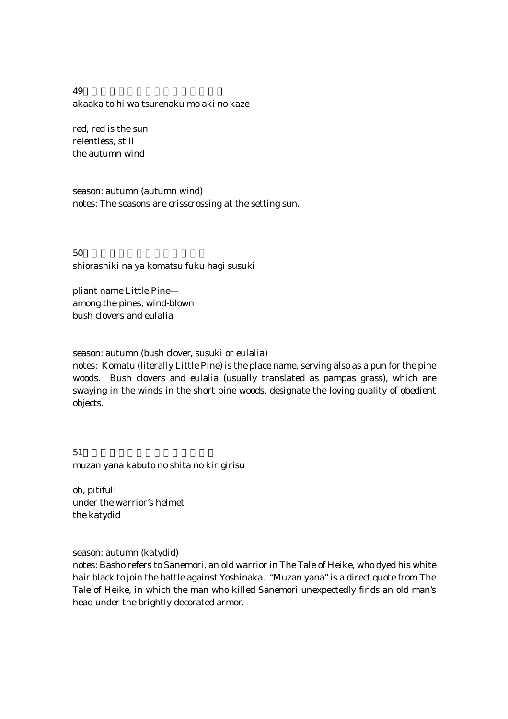49.あかあかと日はつれなくも秋の風 akaaka to hi wa tsurenaku mo aki no kaze

red, red is the sun relentless, still the autumn wind

season: autumn (autumn wind) notes: The seasons are crisscrossing at the setting sun.

 $50\,$ shiorashiki na ya komatsu fuku hagi susuki

pliant name Little Pine among the pines, wind-blown bush clovers and eulalia

season: autumn (bush clover, susuki or eulalia)

notes: Komatu (literally Little Pine) is the place name, serving also as a pun for the pine woods. Bush clovers and eulalia (usually translated as pampas grass), which are swaying in the winds in the short pine woods, designate the loving quality of obedient objects.

 $51$ muzan yana kabuto no shita no kirigirisu

oh, pitiful! under the warrior's helmet the katydid

season: autumn (katydid)

notes: Basho refers to Sanemori, an old warrior in The Tale of Heike, who dyed his white hair black to join the battle against Yoshinaka. "Muzan yana" is a direct quote from The Tale of Heike, in which the man who killed Sanemori unexpectedly finds an old man's head under the brightly decorated armor.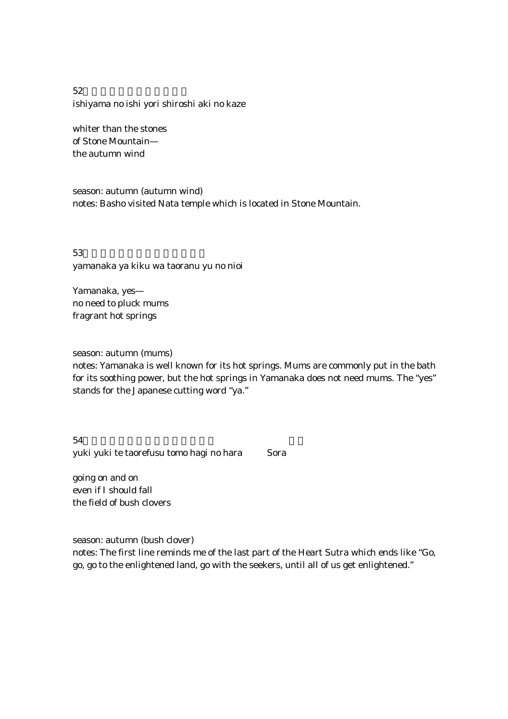$52$ ishiyama no ishi yori shiroshi aki no kaze

whiter than the stones of Stone Mountain the autumn wind

season: autumn (autumn wind) notes: Basho visited Nata temple which is located in Stone Mountain.

 $53$ yamanaka ya kiku wa taoranu yu no nioi

Yamanaka, yes no need to pluck mums fragrant hot springs

season: autumn (mums)

notes: Yamanaka is well known for its hot springs. Mums are commonly put in the bath for its soothing power, but the hot springs in Yamanaka does not need mums. The "yes" stands for the Japanese cutting word "ya."

 $54$ yuki yuki te taorefusu tomo hagi no hara Sora

going on and on even if I should fall the field of bush clovers

season: autumn (bush clover) notes: The first line reminds me of the last part of the Heart Sutra which ends like "Go, go, go to the enlightened land, go with the seekers, until all of us get enlightened."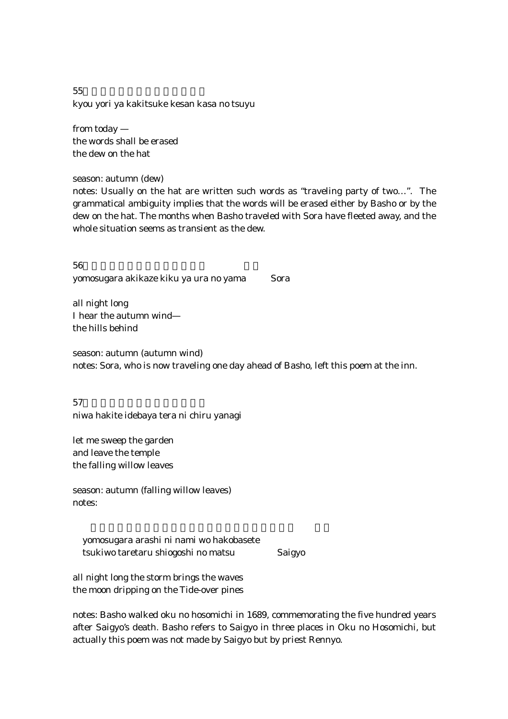$55$ kyou yori ya kakitsuke kesan kasa no tsuyu

from today the words shall be erased the dew on the hat

season: autumn (dew)

notes: Usually on the hat are written such words as "traveling party of two…". The grammatical ambiguity implies that the words will be erased either by Basho or by the dew on the hat. The months when Basho traveled with Sora have fleeted away, and the whole situation seems as transient as the dew.

 $56$ yomosugara akikaze kiku ya ura no yama Sora

all night long I hear the autumn wind the hills behind

season: autumn (autumn wind) notes: Sora, who is now traveling one day ahead of Basho, left this poem at the inn.

 $57$ niwa hakite idebaya tera ni chiru yanagi

let me sweep the garden and leave the temple the falling willow leaves

season: autumn (falling willow leaves) notes:

 yomosugara arashi ni nami wo hakobasete tsukiwo taretaru shiogoshi no matsu Saigyo

all night long the storm brings the waves the moon dripping on the Tide-over pines

notes: Basho walked oku no hosomichi in 1689, commemorating the five hundred years after Saigyo's death. Basho refers to Saigyo in three places in Oku no Hosomichi, but actually this poem was not made by Saigyo but by priest Rennyo.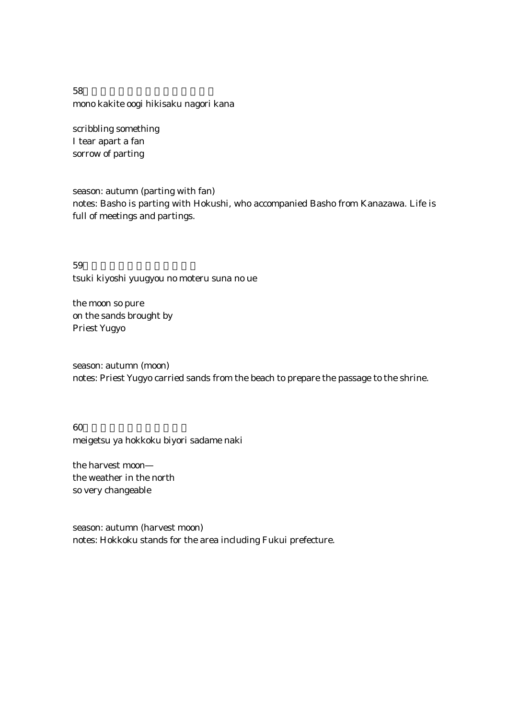$58$ mono kakite oogi hikisaku nagori kana

scribbling something I tear apart a fan sorrow of parting

season: autumn (parting with fan) notes: Basho is parting with Hokushi, who accompanied Basho from Kanazawa. Life is full of meetings and partings.

 $59$ tsuki kiyoshi yuugyou no moteru suna no ue

the moon so pure on the sands brought by Priest Yugyo

season: autumn (moon) notes: Priest Yugyo carried sands from the beach to prepare the passage to the shrine.

 $60$ meigetsu ya hokkoku biyori sadame naki

the harvest moon the weather in the north so very changeable

season: autumn (harvest moon) notes: Hokkoku stands for the area including Fukui prefecture.